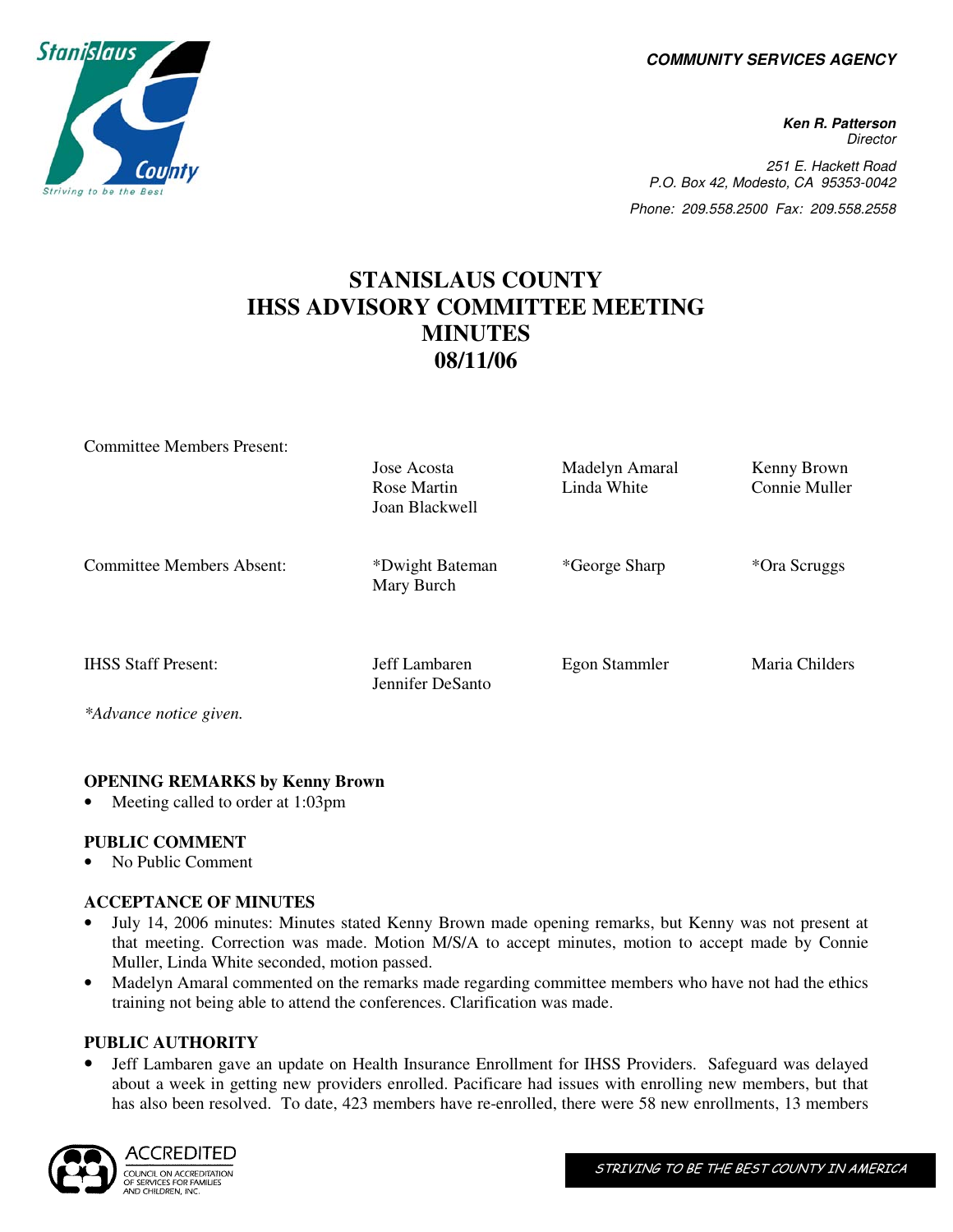**COMMUNITY SERVICES AGENCY** 

**Ken R. Patterson Director** 251 E. Hackett Road P.O. Box 42, Modesto, CA 95353-0042 Phone: 209.558.2500 Fax: 209.558.2558

# **STANISLAUS COUNTY IHSS ADVISORY COMMITTEE MEETING MINUTES 08/11/06**

|                            | Jose Acosta<br>Rose Martin<br>Joan Blackwell | Madelyn Amaral<br>Linda White | Kenny Brown<br>Connie Muller |
|----------------------------|----------------------------------------------|-------------------------------|------------------------------|
| Committee Members Absent:  | *Dwight Bateman<br>Mary Burch                | *George Sharp                 | *Ora Scruggs                 |
| <b>IHSS Staff Present:</b> | Jeff Lambaren<br>Jennifer DeSanto            | Egon Stammler                 | Maria Childers               |
| *Advance notice given.     |                                              |                               |                              |

## **OPENING REMARKS by Kenny Brown**

Meeting called to order at 1:03pm

#### **PUBLIC COMMENT**

• No Public Comment

Committee Members Present:

#### **ACCEPTANCE OF MINUTES**

- July 14, 2006 minutes: Minutes stated Kenny Brown made opening remarks, but Kenny was not present at that meeting. Correction was made. Motion M/S/A to accept minutes, motion to accept made by Connie Muller, Linda White seconded, motion passed.
- Madelyn Amaral commented on the remarks made regarding committee members who have not had the ethics training not being able to attend the conferences. Clarification was made.

#### **PUBLIC AUTHORITY**

• Jeff Lambaren gave an update on Health Insurance Enrollment for IHSS Providers. Safeguard was delayed about a week in getting new providers enrolled. Pacificare had issues with enrolling new members, but that has also been resolved. To date, 423 members have re-enrolled, there were 58 new enrollments, 13 members



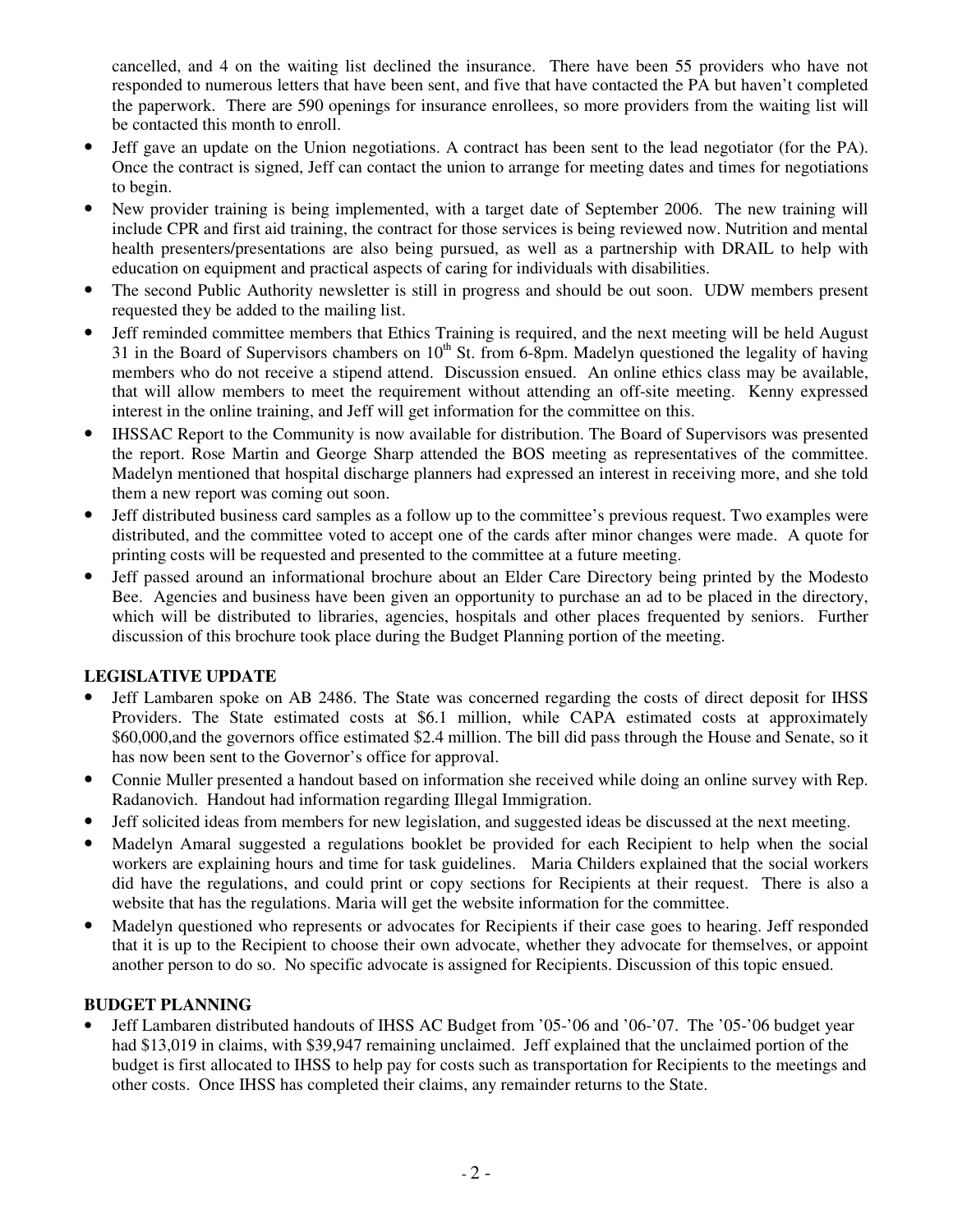cancelled, and 4 on the waiting list declined the insurance. There have been 55 providers who have not responded to numerous letters that have been sent, and five that have contacted the PA but haven't completed the paperwork. There are 590 openings for insurance enrollees, so more providers from the waiting list will be contacted this month to enroll.

- Jeff gave an update on the Union negotiations. A contract has been sent to the lead negotiator (for the PA). Once the contract is signed, Jeff can contact the union to arrange for meeting dates and times for negotiations to begin.
- New provider training is being implemented, with a target date of September 2006. The new training will include CPR and first aid training, the contract for those services is being reviewed now. Nutrition and mental health presenters/presentations are also being pursued, as well as a partnership with DRAIL to help with education on equipment and practical aspects of caring for individuals with disabilities.
- The second Public Authority newsletter is still in progress and should be out soon. UDW members present requested they be added to the mailing list.
- Jeff reminded committee members that Ethics Training is required, and the next meeting will be held August 31 in the Board of Supervisors chambers on  $10<sup>th</sup>$  St. from 6-8pm. Madelyn questioned the legality of having members who do not receive a stipend attend. Discussion ensued. An online ethics class may be available, that will allow members to meet the requirement without attending an off-site meeting. Kenny expressed interest in the online training, and Jeff will get information for the committee on this.
- IHSSAC Report to the Community is now available for distribution. The Board of Supervisors was presented the report. Rose Martin and George Sharp attended the BOS meeting as representatives of the committee. Madelyn mentioned that hospital discharge planners had expressed an interest in receiving more, and she told them a new report was coming out soon.
- Jeff distributed business card samples as a follow up to the committee's previous request. Two examples were distributed, and the committee voted to accept one of the cards after minor changes were made. A quote for printing costs will be requested and presented to the committee at a future meeting.
- Jeff passed around an informational brochure about an Elder Care Directory being printed by the Modesto Bee. Agencies and business have been given an opportunity to purchase an ad to be placed in the directory, which will be distributed to libraries, agencies, hospitals and other places frequented by seniors. Further discussion of this brochure took place during the Budget Planning portion of the meeting.

# **LEGISLATIVE UPDATE**

- Jeff Lambaren spoke on AB 2486. The State was concerned regarding the costs of direct deposit for IHSS Providers. The State estimated costs at \$6.1 million, while CAPA estimated costs at approximately \$60,000,and the governors office estimated \$2.4 million. The bill did pass through the House and Senate, so it has now been sent to the Governor's office for approval.
- Connie Muller presented a handout based on information she received while doing an online survey with Rep. Radanovich. Handout had information regarding Illegal Immigration.
- Jeff solicited ideas from members for new legislation, and suggested ideas be discussed at the next meeting.
- Madelyn Amaral suggested a regulations booklet be provided for each Recipient to help when the social workers are explaining hours and time for task guidelines. Maria Childers explained that the social workers did have the regulations, and could print or copy sections for Recipients at their request. There is also a website that has the regulations. Maria will get the website information for the committee.
- Madelyn questioned who represents or advocates for Recipients if their case goes to hearing. Jeff responded that it is up to the Recipient to choose their own advocate, whether they advocate for themselves, or appoint another person to do so. No specific advocate is assigned for Recipients. Discussion of this topic ensued.

## **BUDGET PLANNING**

• Jeff Lambaren distributed handouts of IHSS AC Budget from '05-'06 and '06-'07. The '05-'06 budget year had \$13,019 in claims, with \$39,947 remaining unclaimed. Jeff explained that the unclaimed portion of the budget is first allocated to IHSS to help pay for costs such as transportation for Recipients to the meetings and other costs. Once IHSS has completed their claims, any remainder returns to the State.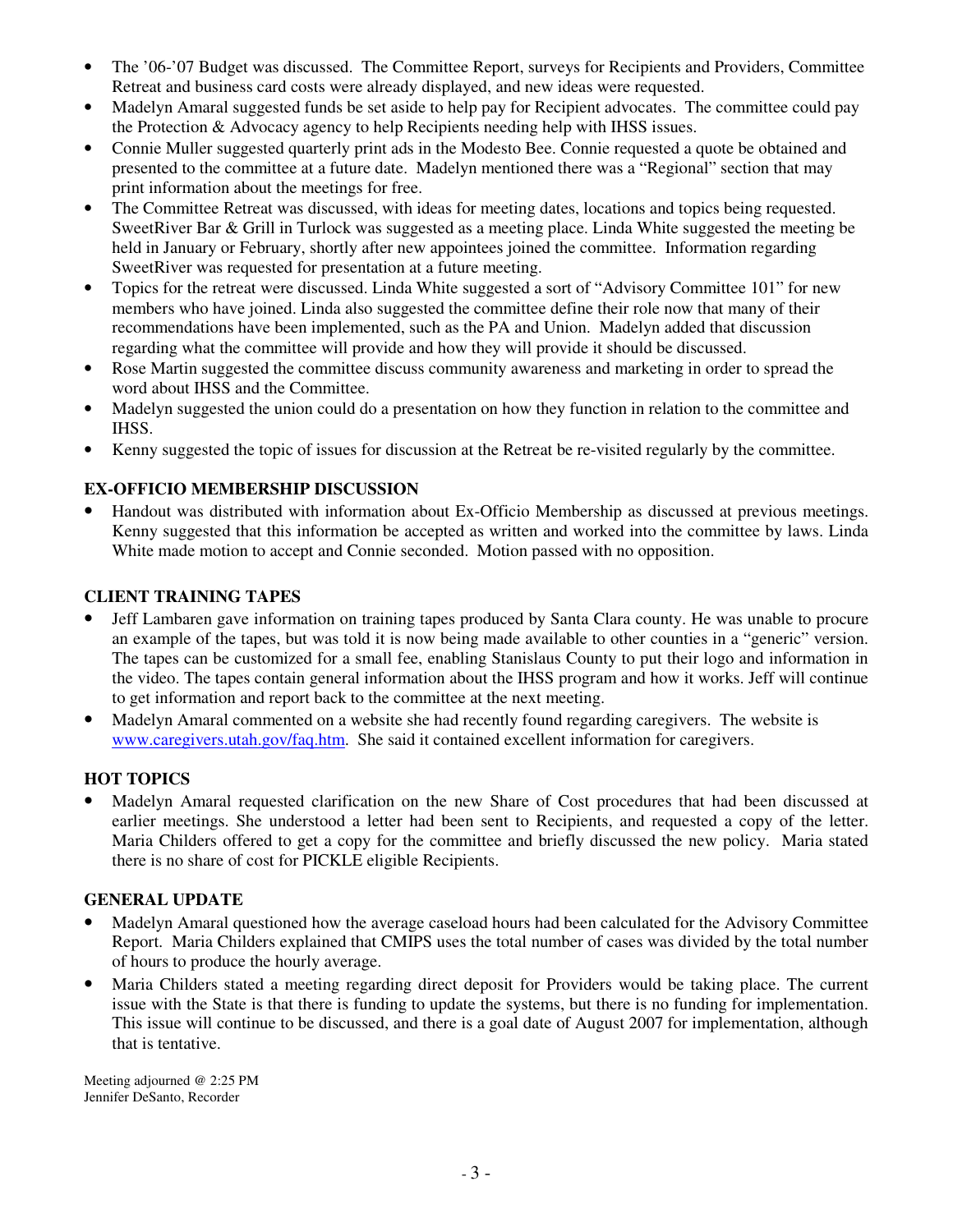- The '06-'07 Budget was discussed. The Committee Report, surveys for Recipients and Providers, Committee Retreat and business card costs were already displayed, and new ideas were requested.
- Madelyn Amaral suggested funds be set aside to help pay for Recipient advocates. The committee could pay the Protection & Advocacy agency to help Recipients needing help with IHSS issues.
- Connie Muller suggested quarterly print ads in the Modesto Bee. Connie requested a quote be obtained and presented to the committee at a future date. Madelyn mentioned there was a "Regional" section that may print information about the meetings for free.
- The Committee Retreat was discussed, with ideas for meeting dates, locations and topics being requested. SweetRiver Bar & Grill in Turlock was suggested as a meeting place. Linda White suggested the meeting be held in January or February, shortly after new appointees joined the committee. Information regarding SweetRiver was requested for presentation at a future meeting.
- Topics for the retreat were discussed. Linda White suggested a sort of "Advisory Committee 101" for new members who have joined. Linda also suggested the committee define their role now that many of their recommendations have been implemented, such as the PA and Union. Madelyn added that discussion regarding what the committee will provide and how they will provide it should be discussed.
- Rose Martin suggested the committee discuss community awareness and marketing in order to spread the word about IHSS and the Committee.
- Madelyn suggested the union could do a presentation on how they function in relation to the committee and IHSS.
- Kenny suggested the topic of issues for discussion at the Retreat be re-visited regularly by the committee.

# **EX-OFFICIO MEMBERSHIP DISCUSSION**

• Handout was distributed with information about Ex-Officio Membership as discussed at previous meetings. Kenny suggested that this information be accepted as written and worked into the committee by laws. Linda White made motion to accept and Connie seconded. Motion passed with no opposition.

## **CLIENT TRAINING TAPES**

- Jeff Lambaren gave information on training tapes produced by Santa Clara county. He was unable to procure an example of the tapes, but was told it is now being made available to other counties in a "generic" version. The tapes can be customized for a small fee, enabling Stanislaus County to put their logo and information in the video. The tapes contain general information about the IHSS program and how it works. Jeff will continue to get information and report back to the committee at the next meeting.
- Madelyn Amaral commented on a website she had recently found regarding caregivers. The website is www.caregivers.utah.gov/faq.htm. She said it contained excellent information for caregivers.

## **HOT TOPICS**

• Madelyn Amaral requested clarification on the new Share of Cost procedures that had been discussed at earlier meetings. She understood a letter had been sent to Recipients, and requested a copy of the letter. Maria Childers offered to get a copy for the committee and briefly discussed the new policy. Maria stated there is no share of cost for PICKLE eligible Recipients.

## **GENERAL UPDATE**

- Madelyn Amaral questioned how the average caseload hours had been calculated for the Advisory Committee Report. Maria Childers explained that CMIPS uses the total number of cases was divided by the total number of hours to produce the hourly average.
- Maria Childers stated a meeting regarding direct deposit for Providers would be taking place. The current issue with the State is that there is funding to update the systems, but there is no funding for implementation. This issue will continue to be discussed, and there is a goal date of August 2007 for implementation, although that is tentative.

Meeting adjourned @ 2:25 PM Jennifer DeSanto, Recorder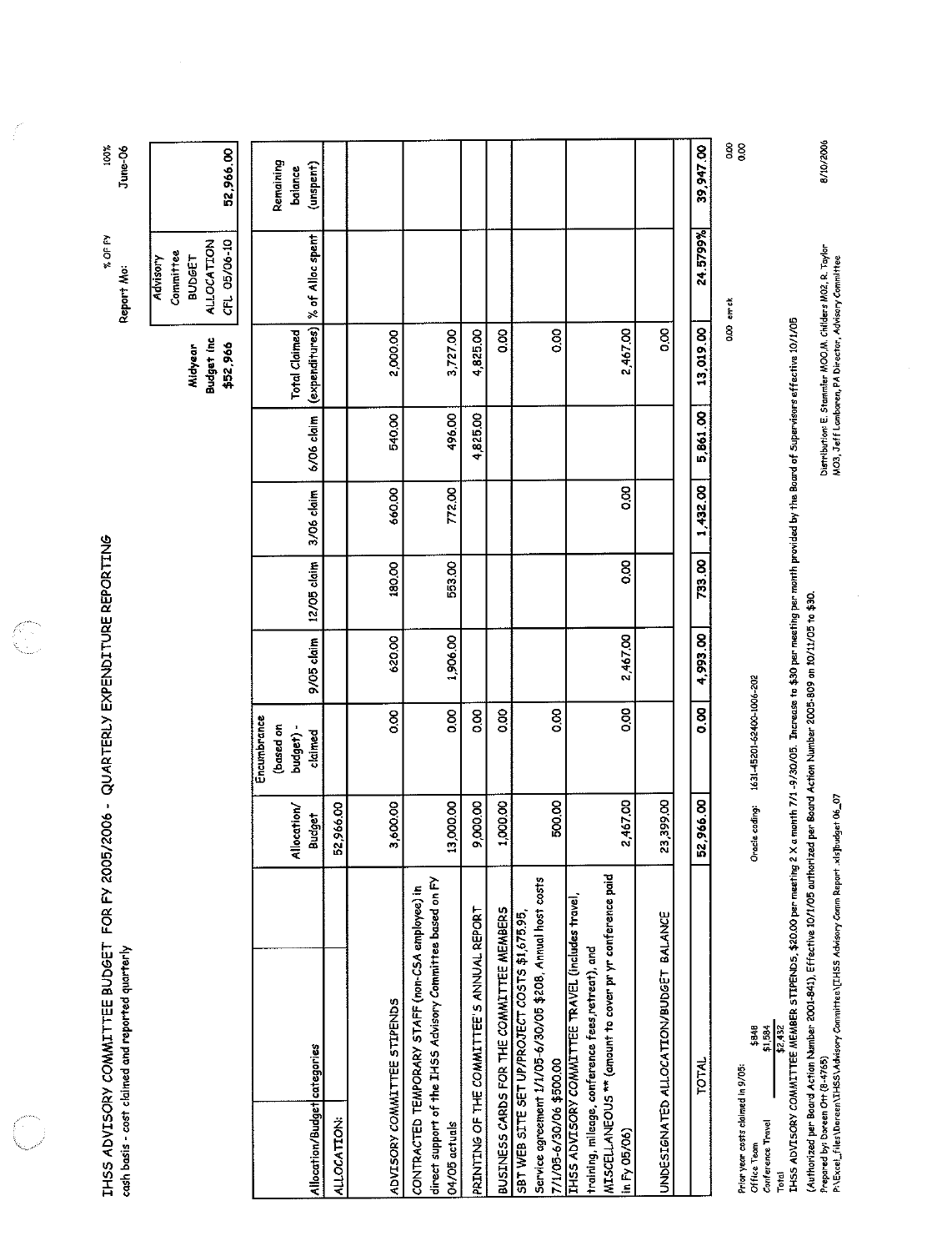| IHSS ADVISORY COMMITTEE BUDGET FOR FY 2005/2006 - QUARTERLY EXPENDITURE REPORTING<br>cash basis - cost claimed and reported quarterly                                                                                                                                                                 |                                    |                                                  |            |             |            |            |                                        | % OF FY<br>Report Mo:                                                       | 100%<br>June-06                   |
|-------------------------------------------------------------------------------------------------------------------------------------------------------------------------------------------------------------------------------------------------------------------------------------------------------|------------------------------------|--------------------------------------------------|------------|-------------|------------|------------|----------------------------------------|-----------------------------------------------------------------------------|-----------------------------------|
|                                                                                                                                                                                                                                                                                                       |                                    |                                                  |            |             |            |            | Budget Inc<br>\$52,966<br>Midyear      | <b>ALLOCATION</b><br>CFL 05/06-10<br>Committee<br><b>BUDGET</b><br>Advisory | 52,966.00                         |
| Allocation/Budget categories<br>ALLOCATION:                                                                                                                                                                                                                                                           | 52,966.00<br>Allocation/<br>Budget | Encumbrance<br>(based on<br>budget) -<br>claimed | 9/05 claim | 12/05 claim | 3/06 claim | 6/06 claim | (expenditures)<br><b>Total Claimed</b> | % of Alloc spent                                                            | Remaining<br>(unspent)<br>balance |
| ADVISORY COMMITTEE STIPENDS                                                                                                                                                                                                                                                                           | 3,600.00                           | 8g                                               | 620.00     | 180.00      | 660.00     | 540.00     | 2,000.00                               |                                                                             |                                   |
| direct support of the IHSS Advisory Committee based on FY<br>CONTRACTED TEMPORARY STAFF (non-CSA employee) in<br>04/05 actuals                                                                                                                                                                        | 13,000.00                          | 8g                                               | 1,906.00   | 553.00      | 772.00     | 496.00     | 3,727.00                               |                                                                             |                                   |
| PRINTING OF THE COMMITTEE'S ANNUAL REPORT                                                                                                                                                                                                                                                             | 9,000,00                           | 8 <sub>0</sub>                                   |            |             |            | 4,825.00   | 4825.00                                |                                                                             |                                   |
| BUSINESS CARDS FOR THE COMMITTEE MEMBERS                                                                                                                                                                                                                                                              | 1,000.00                           | $\frac{8}{3}$                                    |            |             |            |            | O.OO                                   |                                                                             |                                   |
| Service agreement 1/1/05-6/30/05 \$208, Annual host costs<br>SBT WEB SITE SET UP/PROJECT COSTS \$1,675.95,<br>7/1/05-6/30/06 \$500.00                                                                                                                                                                 | 500,00                             | 8,00                                             |            |             |            |            | 0.00                                   |                                                                             |                                   |
| MISCELLANEOUS ** (amount to cover pr yr conference paid<br>THSS ADVISORY COMMITTEE TRAVEL (includes trave),<br>training, mileage, conference fees retreat), and<br>in Fy 05/06)                                                                                                                       | 2,467.00                           | 8 <sub>0</sub>                                   | 2,467.00   | 0.00        | 8          |            | 2467.00                                |                                                                             |                                   |
| UNDESIGNATED ALLOCATION/BUDGET BALANCE                                                                                                                                                                                                                                                                | 23,399.00                          |                                                  |            |             |            |            | 0.00                                   |                                                                             |                                   |
| <b>TOTAL</b>                                                                                                                                                                                                                                                                                          | 52,966.00                          | 8,00                                             | 4,993.00   | 733.00      | 1,432.00   | 5,861.00   | 13,019.00                              | 24.5799%                                                                    | 39,947.00                         |
| IHSS ADVISORY COMMITTEE MEMBER STIPEND5, \$20.00 per meeting 2 X a manth 7/1 -9/30/05. Increase to \$30 per meeting per manth provided by the Board of Supervisors effective 10/1/05<br>\$2,432<br>\$848<br>\$1,584<br>Prior year costs claimed in 9/05:<br>Conterence Travel<br>Office Team<br>Total | Oracle coding:                     | 1631-45201-62400-1006-202                        |            |             |            |            |                                        | 0.00 er ck                                                                  | 8 8                               |
| (Authorized per Beard Action Number 2001-841), Effective 10/1/05 authorized per Board Action Number 2005-809 on 10/11/05 to \$30.<br>Prepared by: Doreen Ott (8-4765)                                                                                                                                 |                                    |                                                  |            |             |            |            |                                        | Distribution: E. Stammler MOO,M. Childers MO2, R. Taylor                    | 8/10/2006                         |

Prepared by: Doreen OH (8-4765)<br>P:\Excel\_files\Doreen\IHSS\Advisory Committee\[IHSS Advisory Comm Repart .xls]budget 06\_07

Distribution: E. Stammler MOO,M, Childers MO2, R. Taylor<br>MO3, Jeff Lambaren, PA Director, Advisory Committee

 $\hat{\mathcal{L}}$ 

 $\hat{\boldsymbol{\beta}}$ 

 $\label{eq:2} \frac{1}{2} \int_0^1 \frac{d^2x}{dx^2} \, dx$ 

 $\begin{picture}(20,20) \put(0,0){\line(1,0){155}} \put(0,0){\line(1,0){155}} \put(0,0){\line(1,0){155}} \put(0,0){\line(1,0){155}} \put(0,0){\line(1,0){155}} \put(0,0){\line(1,0){155}} \put(0,0){\line(1,0){155}} \put(0,0){\line(1,0){155}} \put(0,0){\line(1,0){155}} \put(0,0){\line(1,0){155}} \put(0,0){\line(1,0){155}} \put(0,0){\line(1$ 

G